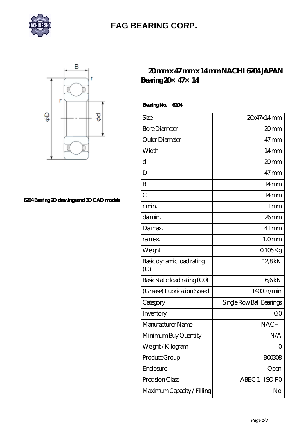

## **[FAG BEARING CORP.](https://mymed.cc)**



**[6204 Bearing 2D drawings and 3D CAD models](https://mymed.cc/pic-224868.html)**

## **[20 mm x 47 mm x 14 mm NACHI 6204 JAPAN](https://mymed.cc/ar-224868-nachi-6204-japan-bearing-20-47-14.html) [Bearing 20×47×14](https://mymed.cc/ar-224868-nachi-6204-japan-bearing-20-47-14.html)**

 **Bearing No. 6204**

| Size                             | 20x47x14mm               |
|----------------------------------|--------------------------|
| <b>Bore Diameter</b>             | 20mm                     |
| Outer Diameter                   | $47 \text{mm}$           |
| Width                            | $14 \text{mm}$           |
| $\mathbf d$                      | 20 <sub>mm</sub>         |
| D                                | $47 \text{mm}$           |
| B                                | $14 \text{mm}$           |
| $\overline{C}$                   | 14 <sub>mm</sub>         |
| r min.                           | $1 \,\mathrm{mm}$        |
| da min.                          | 26mm                     |
| Damax.                           | $41 \,\mathrm{mm}$       |
| ra max.                          | 1.0 <sub>mm</sub>        |
| Weight                           | $0106$ Kg                |
| Basic dynamic load rating<br>(C) | 12,8kN                   |
| Basic static load rating (CO)    | 66kN                     |
| (Grease) Lubrication Speed       | 14000r/min               |
| Category                         | Single Row Ball Bearings |
| Inventory                        | 0 <sup>0</sup>           |
| Manufacturer Name                | <b>NACHI</b>             |
| Minimum Buy Quantity             | N/A                      |
| Weight / Kilogram                | 0                        |
| Product Group                    | <b>BOO3O8</b>            |
| Enclosure                        | Open                     |
| Precision Class                  | ABEC 1   ISO PO          |
| Maximum Capacity / Filling       | No                       |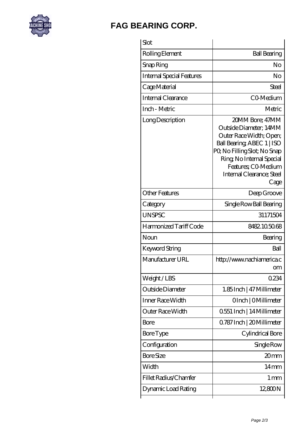

## **[FAG BEARING CORP.](https://mymed.cc)**

| Slot                      |                                                                                                                                                                                                                            |
|---------------------------|----------------------------------------------------------------------------------------------------------------------------------------------------------------------------------------------------------------------------|
| Rolling Element           | <b>Ball Bearing</b>                                                                                                                                                                                                        |
| Snap Ring                 | No                                                                                                                                                                                                                         |
| Internal Special Features | No                                                                                                                                                                                                                         |
| Cage Material             | Steel                                                                                                                                                                                                                      |
| Internal Clearance        | CO-Medium                                                                                                                                                                                                                  |
| Inch - Metric             | Metric                                                                                                                                                                                                                     |
| Long Description          | 20MM Bore: 47MM<br>Outside Diameter: 14MM<br>Outer Race Width; Open;<br>Ball Bearing, ABEC 1   ISO<br>PQ No Filling Slot; No Snap<br>Ring, No Internal Special<br>Features; CO-Medium<br>Internal Clearance; Steel<br>Cage |
| Other Features            | Deep Groove                                                                                                                                                                                                                |
| Category                  | Single Row Ball Bearing                                                                                                                                                                                                    |
| <b>UNSPSC</b>             | 31171504                                                                                                                                                                                                                   |
| Harmonized Tariff Code    | 8482105068                                                                                                                                                                                                                 |
| Noun                      | Bearing                                                                                                                                                                                                                    |
| Keyword String            | Ball                                                                                                                                                                                                                       |
| Manufacturer URL          | http://www.nachiamerica.c<br>om                                                                                                                                                                                            |
| Weight/LBS                | 0234                                                                                                                                                                                                                       |
| Outside Diameter          | 1.85Inch   47 Millimeter                                                                                                                                                                                                   |
| Inner Race Width          | OInch   OMillimeter                                                                                                                                                                                                        |
| Outer Race Width          | 0.551 Inch   14 Millimeter                                                                                                                                                                                                 |
| Bore                      | 0.787 Inch   20 Millimeter                                                                                                                                                                                                 |
| Bore Type                 | Cylindrical Bore                                                                                                                                                                                                           |
| Configuration             | Single Row                                                                                                                                                                                                                 |
| <b>Bore Size</b>          | 20 <sub>mm</sub>                                                                                                                                                                                                           |
| Width                     | 14 <sub>mm</sub>                                                                                                                                                                                                           |
| Fillet Radius/Chamfer     | $1 \,\mathrm{mm}$                                                                                                                                                                                                          |
| Dynamic Load Rating       | 12,800N                                                                                                                                                                                                                    |
|                           |                                                                                                                                                                                                                            |